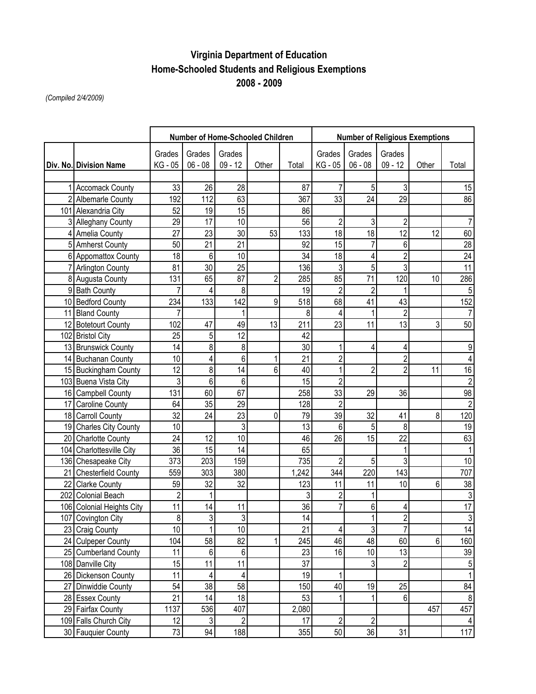## **Virginia Department of Education Home-Schooled Students and Religious Exemptions 2008 - 2009**

*(Compiled 2/4/2009)*

|                           | Number of Home-Schooled Children |                |                |                |       | <b>Number of Religious Exemptions</b> |                |                |       |                  |  |
|---------------------------|----------------------------------|----------------|----------------|----------------|-------|---------------------------------------|----------------|----------------|-------|------------------|--|
|                           | Grades                           | Grades         | Grades         |                |       | Grades                                | Grades         | Grades         |       |                  |  |
| Div. No. Division Name    | KG - 05                          | $06 - 08$      | $09 - 12$      | Other          | Total | KG - 05                               | $06 - 08$      | $09 - 12$      | Other | Total            |  |
|                           |                                  |                |                |                |       |                                       |                |                |       |                  |  |
| 1 Accomack County         | 33                               | 26             | 28             |                | 87    |                                       | $\overline{5}$ |                |       | 15               |  |
| 2 Albemarle County        | 192                              | 112            | 63             |                | 367   | 33                                    | 24             | 29             |       | 86               |  |
| 101 Alexandria City       | 52                               | 19             | 15             |                | 86    |                                       |                |                |       |                  |  |
| 3 Alleghany County        | 29                               | 17             | 10             |                | 56    | $\overline{2}$                        | 3              | $\overline{2}$ |       | $\overline{7}$   |  |
| 4 Amelia County           | 27                               | 23             | 30             | 53             | 133   | 18                                    | 18             | 12             | 12    | 60               |  |
| 5 Amherst County          | 50                               | 21             | 21             |                | 92    | 15                                    | $\overline{7}$ | 6              |       | 28               |  |
| 6 Appomattox County       | 18                               | 6              | 10             |                | 34    | 18                                    | 4              | $\overline{2}$ |       | $\overline{24}$  |  |
| 7 Arlington County        | 81                               | 30             | 25             |                | 136   | 3                                     | 5              | 3              |       | 11               |  |
| 8 Augusta County          | 131                              | 65             | 87             | $\overline{2}$ | 285   | 85                                    | 71             | 120            | 10    | 286              |  |
| 9 Bath County             | 7                                | 4              | 8              |                | 19    | $\overline{2}$                        | $\overline{2}$ |                |       | $\mathbf 5$      |  |
| 10 Bedford County         | 234                              | 133            | 142            | 9              | 518   | 68                                    | 41             | 43             |       | 152              |  |
| 11 Bland County           |                                  |                |                |                | 8     | 4                                     |                | $\overline{2}$ |       | $\overline{7}$   |  |
| 12 Botetourt County       | 102                              | 47             | 49             | 13             | 211   | 23                                    | 11             | 13             | 3     | 50               |  |
| 102 Bristol City          | 25                               | 5              | 12             |                | 42    |                                       |                |                |       |                  |  |
| 13 Brunswick County       | 14                               | 8              | 8              |                | 30    | 1                                     | 4              | 4              |       | $\boldsymbol{9}$ |  |
| 14 Buchanan County        | 10                               | 4              | 6              | 1              | 21    | $\overline{c}$                        |                | $\overline{2}$ |       | 4                |  |
| 15 Buckingham County      | 12                               | 8              | 14             | 6              | 40    | 1                                     | $\overline{2}$ | $\overline{2}$ | 11    | 16               |  |
| 103 Buena Vista City      | 3                                | 6              | 6              |                | 15    | $\overline{2}$                        |                |                |       | $\sqrt{2}$       |  |
| 16 Campbell County        | 131                              | 60             | 67             |                | 258   | 33                                    | 29             | 36             |       | 98               |  |
| 17 Caroline County        | 64                               | 35             | 29             |                | 128   | $\overline{2}$                        |                |                |       | $\sqrt{2}$       |  |
| 18 Carroll County         | 32                               | 24             | 23             | 0              | 79    | 39                                    | 32             | 41             | 8     | 120              |  |
| 19 Charles City County    | 10                               |                | 3              |                | 13    | 6                                     | 5              | 8              |       | 19               |  |
| 20 Charlotte County       | 24                               | 12             | 10             |                | 46    | 26                                    | 15             | 22             |       | 63               |  |
| 104 Charlottesville City  | 36                               | 15             | 14             |                | 65    |                                       |                |                |       | 1                |  |
| 136 Chesapeake City       | 373                              | 203            | 159            |                | 735   | $\overline{c}$                        | $\overline{5}$ | 3              |       | $10$             |  |
| 21 Chesterfield County    | 559                              | 303            | 380            |                | 1,242 | 344                                   | 220            | 143            |       | 707              |  |
| 22 Clarke County          | 59                               | 32             | 32             |                | 123   | 11                                    | 11             | 10             | 6     | 38               |  |
| 202 Colonial Beach        | $\overline{2}$                   |                |                |                | 3     | $\overline{c}$                        | 1              |                |       | $\sqrt{3}$       |  |
| 106 Colonial Heights City | 11                               | 14             | 11             |                | 36    | $\overline{7}$                        | $6\phantom{a}$ | 4              |       | $\overline{17}$  |  |
| 107 Covington City        | 8                                | 3 <sup>1</sup> | 3              |                | 14    |                                       | 1              | $\overline{2}$ |       | $\overline{3}$   |  |
| 23 Craig County           | 10                               | 1              | 10             |                | 21    | 4                                     | 3              | 7              |       | 14               |  |
| 24 Culpeper County        | 104                              | 58             | 82             | 1              | 245   | 46                                    | 48             | 60             | 6     | 160              |  |
| 25 Cumberland County      | 11                               | 6              | 6              |                | 23    | 16                                    | 10             | 13             |       | 39               |  |
| 108 Danville City         | 15                               | 11             | 11             |                | 37    |                                       | $\overline{3}$ | $\overline{c}$ |       | 5                |  |
| 26 Dickenson County       | 11                               | 4              | 4              |                | 19    | 1                                     |                |                |       | $\mathbf{1}$     |  |
| 27 Dinwiddie County       | 54                               | 38             | 58             |                | 150   | 40                                    | 19             | 25             |       | 84               |  |
| 28 Essex County           | 21                               | 14             | 18             |                | 53    |                                       | 1              | 6              |       | 8                |  |
| 29 Fairfax County         | 1137                             | 536            | 407            |                | 2,080 |                                       |                |                | 457   | 457              |  |
| 109 Falls Church City     | 12                               | 3 <sup>1</sup> | $\overline{2}$ |                | 17    | $\sqrt{2}$                            | $\overline{2}$ |                |       | 4                |  |
| 30 Fauquier County        | 73                               | 94             | 188            |                | 355   | 50                                    | 36             | 31             |       | 117              |  |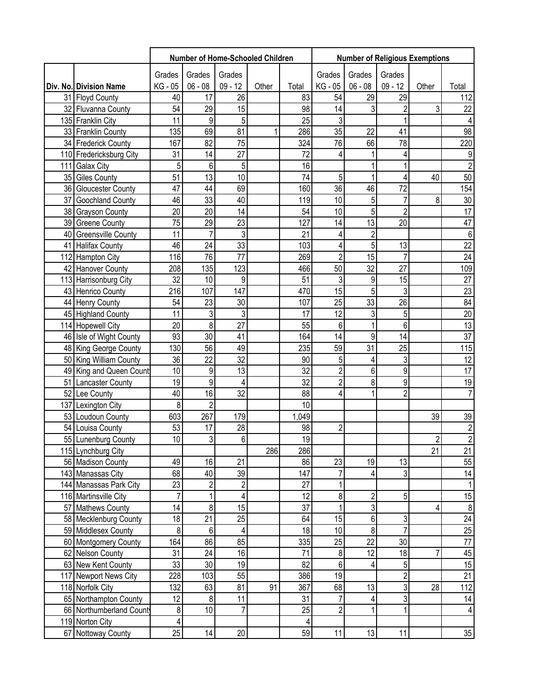|                          | Number of Home-Schooled Children |                 |                  |       |                 | <b>Number of Religious Exemptions</b> |                |                |                |                 |  |
|--------------------------|----------------------------------|-----------------|------------------|-------|-----------------|---------------------------------------|----------------|----------------|----------------|-----------------|--|
|                          | Grades                           | Grades          | Grades           |       |                 | Grades                                | Grades         | Grades         |                |                 |  |
| Div. No. Division Name   | KG - 05                          | $06 - 08$       | $09 - 12$        | Other | Total           | KG - 05                               | $06 - 08$      | $09 - 12$      | Other          | Total           |  |
| 31 Floyd County          | 40                               | 17              | 26               |       | 83              | 54                                    | 29             | 29             |                | 112             |  |
| 32 Fluvanna County       | 54                               | 29              | 15               |       | 98              | 14                                    | 3              | $\overline{c}$ | 3              | 22              |  |
| 135 Franklin City        | 11                               | 9               | 5                |       | 25              | 3                                     |                | 1              |                | $\overline{4}$  |  |
| 33 Franklin County       | 135                              | 69              | 81               | 1     | 286             | 35                                    | 22             | 41             |                | 98              |  |
| 34 Frederick County      | 167                              | 82              | 75               |       | 324             | 76                                    | 66             | 78             |                | 220             |  |
| 110 Fredericksburg City  | 31                               | 14              | 27               |       | 72              | 4                                     | 1              | 4              |                | 9               |  |
| 111 Galax City           | 5                                | 6               | 5                |       | 16              |                                       |                |                |                | $\overline{2}$  |  |
| 35 Giles County          | 51                               | $\overline{13}$ | 10               |       | 74              | 5                                     |                | 4              | 40             | 50              |  |
| 36 Gloucester County     | 47                               | 44              | 69               |       | 160             | 36                                    | 46             | 72             |                | 154             |  |
| 37 Goochland County      | 46                               | 33              | 40               |       | 119             | 10                                    | 5              | $\overline{7}$ | 8              | 30              |  |
| 38 Grayson County        | 20                               | 20              | 14               |       | 54              | 10                                    | 5              | $\overline{2}$ |                | 17              |  |
| 39 Greene County         | 75                               | 29              | 23               |       | 127             | 14                                    | 13             | 20             |                | $\overline{47}$ |  |
| 40 Greensville County    | 11                               | $\overline{7}$  | 3                |       | 21              | 4                                     | $\overline{2}$ |                |                | $\,6\,$         |  |
| 41 Halifax County        | 46                               | 24              | 33               |       | 103             | 4                                     | $\overline{5}$ | 13             |                | $\overline{22}$ |  |
| 112 Hampton City         | 116                              | 76              | 77               |       | 269             | $\overline{2}$                        | 15             | $\overline{7}$ |                | $\overline{24}$ |  |
| 42 Hanover County        | 208                              | 135             | 123              |       | 466             | 50                                    | 32             | 27             |                | 109             |  |
| 113 Harrisonburg City    | 32                               | 10              | 9                |       | 51              | 3                                     | 9              | 15             |                | 27              |  |
| 43 Henrico County        | 216                              | 107             | 147              |       | 470             | 15                                    | 5              | 3              |                | 23              |  |
| 44 Henry County          | 54                               | 23              | 30               |       | 107             | 25                                    | 33             | 26             |                | 84              |  |
| 45 Highland County       | 11                               | 3               | 3                |       | 17              | 12                                    | 3              | 5              |                | $\overline{20}$ |  |
| 114 Hopewell City        | 20                               | $\overline{8}$  | 27               |       | 55              | 6                                     | $\overline{1}$ | 6              |                | 13              |  |
| 46 Isle of Wight County  | 93                               | 30              | 41               |       | 164             | 14                                    | 9              | 14             |                | 37              |  |
| 48 King George County    | 130                              | 56              | 49               |       | 235             | 59                                    | 31             | 25             |                | 115             |  |
| 50 King William County   | 36                               | 22              | 32               |       | 90              | 5                                     | 4              | 3              |                | 12              |  |
| 49 King and Queen Count  | 10                               | 9               | 13               |       | 32              | $\overline{2}$                        | 6              | 9              |                | $\overline{17}$ |  |
| 51 Lancaster County      | 19                               | $\overline{9}$  | 4                |       | $\overline{32}$ | $\overline{2}$                        | 8              | 9              |                | 19              |  |
| 52 Lee County            | 40                               | 16              | 32               |       | 88              | 4                                     | $\mathbf{1}$   | $\overline{2}$ |                | $\overline{7}$  |  |
| 137 Lexington City       | 8                                | $\overline{2}$  |                  |       | 10              |                                       |                |                |                |                 |  |
| 53 Loudoun County        | 603                              | 267             | 179              |       | 1,049           |                                       |                |                | 39             | 39              |  |
| 54 Louisa County         | 53                               | 17              | 28               |       | 98              | $\overline{c}$                        |                |                |                | $\overline{2}$  |  |
| 55 Lunenburg County      | 10 <sup>1</sup>                  | 3 <sup>1</sup>  | 6 <sup>1</sup>   |       | 19              |                                       |                |                | $\mathfrak{p}$ | $\overline{2}$  |  |
| 115 Lynchburg City       |                                  |                 |                  | 286   | 286             |                                       |                |                | 21             | 21              |  |
| 56 Madison County        | 49                               | 16              | 21               |       | 86              | 23                                    | 19             | 13             |                | 55              |  |
| 143 Manassas City        | 68                               | 40              | 39               |       | 147             |                                       | 4              | 3              |                | 14              |  |
| 144 Manassas Park City   | 23                               | $\overline{2}$  | $\boldsymbol{2}$ |       | 27              |                                       |                |                |                | 1               |  |
| 116 Martinsville City    | $\overline{7}$                   | 1               | 4                |       | 12              | 8                                     | 2              | 5              |                | 15              |  |
| 57 Mathews County        | 14                               | 8               | 15               |       | 37              |                                       | 3              |                | 4              | $\,8\,$         |  |
| 58 Mecklenburg County    | 18                               | 21              | 25               |       | 64              | 15                                    | 6              | 3              |                |                 |  |
| 59 Middlesex County      | 8                                | 6               | 4                |       | 18              | 10                                    | 8              | $\overline{7}$ |                | $\frac{24}{25}$ |  |
| 60 Montgomery County     | 164                              | 86              | 85               |       | 335             | 25                                    | 22             | 30             |                | 77              |  |
| 62 Nelson County         | 31                               | 24              | 16               |       | 71              | 8                                     | 12             | 18             | 7              | 45              |  |
| 63 New Kent County       | 33                               | 30              | 19               |       | 82              | 6                                     | 4              | 5              |                | $\overline{15}$ |  |
| 117 Newport News City    | 228                              | 103             | 55               |       | 386             | 19                                    |                | $\overline{c}$ |                | $\overline{21}$ |  |
| 118 Norfolk City         | 132                              | 63              | 81               | 91    | 367             | 68                                    | 13             | $\overline{3}$ | 28             | 112             |  |
| 65 Northampton County    | 12                               | 8               | 11               |       | 31              |                                       | 4              | 3              |                | 14              |  |
| 66 Northumberland County | 8                                | 10              | $\overline{7}$   |       | 25              | $\overline{2}$                        |                |                |                | $\overline{4}$  |  |
| 119 Norton City          | 4                                |                 |                  |       | 4               |                                       |                |                |                |                 |  |
| 67 Nottoway County       | 25                               | 14              | 20               |       | 59              | 11                                    | 13             | 11             |                | 35              |  |